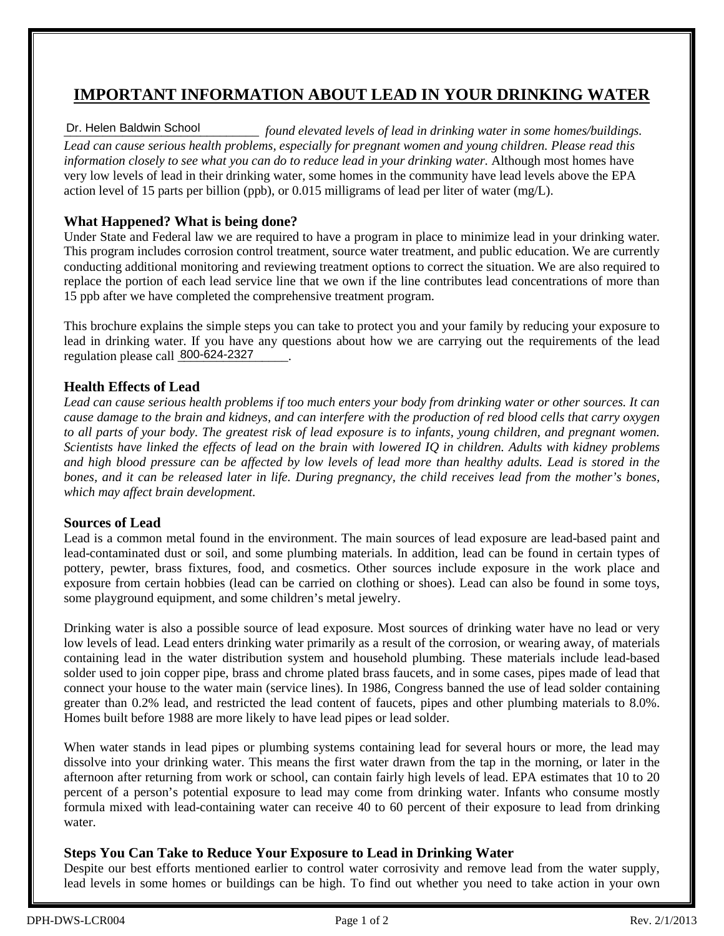## **IMPORTANT INFORMATION ABOUT LEAD IN YOUR DRINKING WATER**

#### *\_\_\_\_\_\_\_\_\_\_\_\_\_\_\_\_\_\_\_\_\_\_\_\_\_\_\_\_\_\_ found elevated levels of lead in drinking water in some homes/buildings. Lead can cause serious health problems, especially for pregnant women and young children. Please read this information closely to see what you can do to reduce lead in your drinking water.* Although most homes have very low levels of lead in their drinking water, some homes in the community have lead levels above the EPA action level of 15 parts per billion (ppb), or 0.015 milligrams of lead per liter of water (mg/L). Dr. Helen Baldwin School

### **What Happened? What is being done?**

Under State and Federal law we are required to have a program in place to minimize lead in your drinking water. This program includes corrosion control treatment, source water treatment, and public education. We are currently conducting additional monitoring and reviewing treatment options to correct the situation. We are also required to replace the portion of each lead service line that we own if the line contributes lead concentrations of more than 15 ppb after we have completed the comprehensive treatment program.

This brochure explains the simple steps you can take to protect you and your family by reducing your exposure to lead in drinking water. If you have any questions about how we are carrying out the requirements of the lead regulation please call 800-624-2327

#### **Health Effects of Lead**

*Lead can cause serious health problems if too much enters your body from drinking water or other sources. It can cause damage to the brain and kidneys, and can interfere with the production of red blood cells that carry oxygen to all parts of your body. The greatest risk of lead exposure is to infants, young children, and pregnant women. Scientists have linked the effects of lead on the brain with lowered IQ in children. Adults with kidney problems and high blood pressure can be affected by low levels of lead more than healthy adults. Lead is stored in the bones, and it can be released later in life. During pregnancy, the child receives lead from the mother's bones, which may affect brain development.*

#### **Sources of Lead**

Lead is a common metal found in the environment. The main sources of lead exposure are lead-based paint and lead-contaminated dust or soil, and some plumbing materials. In addition, lead can be found in certain types of pottery, pewter, brass fixtures, food, and cosmetics. Other sources include exposure in the work place and exposure from certain hobbies (lead can be carried on clothing or shoes). Lead can also be found in some toys, some playground equipment, and some children's metal jewelry.

Drinking water is also a possible source of lead exposure. Most sources of drinking water have no lead or very low levels of lead. Lead enters drinking water primarily as a result of the corrosion, or wearing away, of materials containing lead in the water distribution system and household plumbing. These materials include lead-based solder used to join copper pipe, brass and chrome plated brass faucets, and in some cases, pipes made of lead that connect your house to the water main (service lines). In 1986, Congress banned the use of lead solder containing greater than 0.2% lead, and restricted the lead content of faucets, pipes and other plumbing materials to 8.0%. Homes built before 1988 are more likely to have lead pipes or lead solder.

When water stands in lead pipes or plumbing systems containing lead for several hours or more, the lead may dissolve into your drinking water. This means the first water drawn from the tap in the morning, or later in the afternoon after returning from work or school, can contain fairly high levels of lead. EPA estimates that 10 to 20 percent of a person's potential exposure to lead may come from drinking water. Infants who consume mostly formula mixed with lead-containing water can receive 40 to 60 percent of their exposure to lead from drinking water.

#### **Steps You Can Take to Reduce Your Exposure to Lead in Drinking Water**

Despite our best efforts mentioned earlier to control water corrosivity and remove lead from the water supply, lead levels in some homes or buildings can be high. To find out whether you need to take action in your own